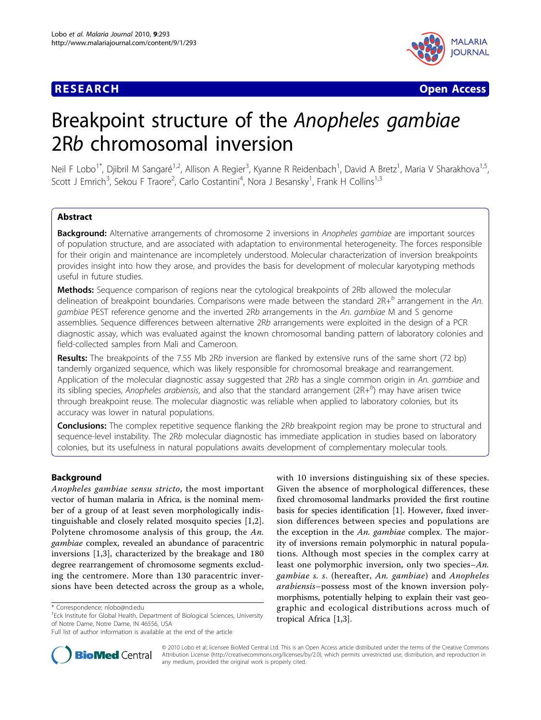

**RESEARCH CONTROL** CONTROL CONTROL CONTROL CONTROL CONTROL CONTROL CONTROL CONTROL CONTROL CONTROL CONTROL CONTROL

# Breakpoint structure of the Anopheles gambiae 2Rb chromosomal inversion

Neil F Lobo<sup>1\*</sup>, Djibril M Sangaré<sup>1,2</sup>, Allison A Regier<sup>3</sup>, Kyanne R Reidenbach<sup>1</sup>, David A Bretz<sup>1</sup>, Maria V Sharakhova<sup>1,5</sup>, Scott J Emrich<sup>3</sup>, Sekou F Traore<sup>2</sup>, Carlo Costantini<sup>4</sup>, Nora J Besansky<sup>1</sup>, Frank H Collins<sup>1,3</sup>

# Abstract

Background: Alternative arrangements of chromosome 2 inversions in Anopheles gambiae are important sources of population structure, and are associated with adaptation to environmental heterogeneity. The forces responsible for their origin and maintenance are incompletely understood. Molecular characterization of inversion breakpoints provides insight into how they arose, and provides the basis for development of molecular karyotyping methods useful in future studies.

Methods: Sequence comparison of regions near the cytological breakpoints of 2Rb allowed the molecular delineation of breakpoint boundaries. Comparisons were made between the standard  $2R+<sup>b</sup>$  arrangement in the An. gambiae PEST reference genome and the inverted 2Rb arrangements in the An. gambiae M and S genome assemblies. Sequence differences between alternative 2Rb arrangements were exploited in the design of a PCR diagnostic assay, which was evaluated against the known chromosomal banding pattern of laboratory colonies and field-collected samples from Mali and Cameroon.

Results: The breakpoints of the 7.55 Mb 2Rb inversion are flanked by extensive runs of the same short (72 bp) tandemly organized sequence, which was likely responsible for chromosomal breakage and rearrangement. Application of the molecular diagnostic assay suggested that 2Rb has a single common origin in An. gambiae and its sibling species, Anopheles arabiensis, and also that the standard arrangement (2R+ $^b$ ) may have arisen twice through breakpoint reuse. The molecular diagnostic was reliable when applied to laboratory colonies, but its accuracy was lower in natural populations.

**Conclusions:** The complex repetitive sequence flanking the 2Rb breakpoint region may be prone to structural and sequence-level instability. The 2Rb molecular diagnostic has immediate application in studies based on laboratory colonies, but its usefulness in natural populations awaits development of complementary molecular tools.

# Background

Anopheles gambiae sensu stricto, the most important vector of human malaria in Africa, is the nominal member of a group of at least seven morphologically indistinguishable and closely related mosquito species [[1,2](#page-7-0)]. Polytene chromosome analysis of this group, the An. gambiae complex, revealed an abundance of paracentric inversions [[1,3](#page-7-0)], characterized by the breakage and 180 degree rearrangement of chromosome segments excluding the centromere. More than 130 paracentric inversions have been detected across the group as a whole,

with 10 inversions distinguishing six of these species. Given the absence of morphological differences, these fixed chromosomal landmarks provided the first routine basis for species identification [\[1](#page-7-0)]. However, fixed inversion differences between species and populations are the exception in the An. gambiae complex. The majority of inversions remain polymorphic in natural populations. Although most species in the complex carry at least one polymorphic inversion, only two species–An. gambiae s. s. (hereafter, An. gambiae) and Anopheles arabiensis–possess most of the known inversion polymorphisms, potentially helping to explain their vast geographic and ecological distributions across much of tropical Africa [\[1,3](#page-7-0)].



© 2010 Lobo et al; licensee BioMed Central Ltd. This is an Open Access article distributed under the terms of the Creative Commons Attribution License [\(http://creativecommons.org/licenses/by/2.0](http://creativecommons.org/licenses/by/2.0)), which permits unrestricted use, distribution, and reproduction in any medium, provided the original work is properly cited.

<sup>\*</sup> Correspondence: [nlobo@nd.edu](mailto:nlobo@nd.edu)

<sup>&</sup>lt;sup>1</sup> Eck Institute for Global Health, Department of Biological Sciences, University of Notre Dame, Notre Dame, IN 46556, USA

Full list of author information is available at the end of the article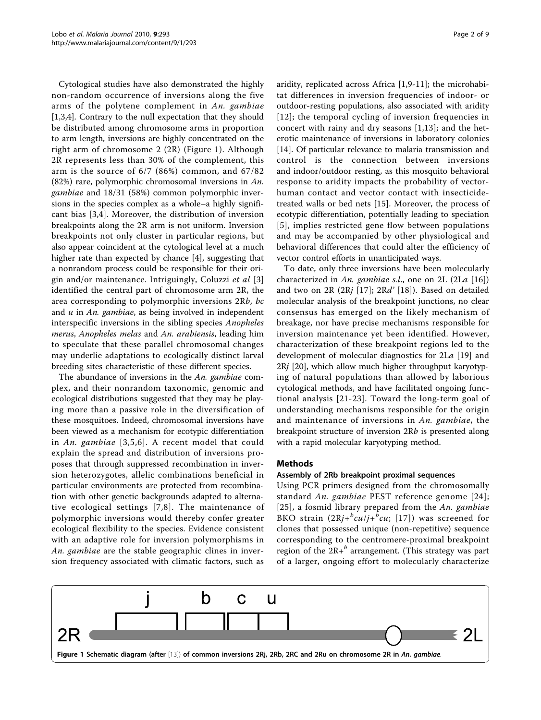Cytological studies have also demonstrated the highly non-random occurrence of inversions along the five arms of the polytene complement in An. gambiae [[1,3,4\]](#page-7-0). Contrary to the null expectation that they should be distributed among chromosome arms in proportion to arm length, inversions are highly concentrated on the right arm of chromosome 2 (2R) (Figure 1). Although 2R represents less than 30% of the complement, this arm is the source of 6/7 (86%) common, and 67/82 (82%) rare, polymorphic chromosomal inversions in An. gambiae and 18/31 (58%) common polymorphic inversions in the species complex as a whole–a highly significant bias [\[3,4\]](#page-7-0). Moreover, the distribution of inversion breakpoints along the 2R arm is not uniform. Inversion breakpoints not only cluster in particular regions, but also appear coincident at the cytological level at a much higher rate than expected by chance [[4\]](#page-7-0), suggesting that a nonrandom process could be responsible for their ori-gin and/or maintenance. Intriguingly, Coluzzi et al [\[3](#page-7-0)] identified the central part of chromosome arm 2R, the area corresponding to polymorphic inversions 2Rb, bc and  $u$  in An. gambiae, as being involved in independent interspecific inversions in the sibling species Anopheles merus, Anopheles melas and An. arabiensis, leading him to speculate that these parallel chromosomal changes may underlie adaptations to ecologically distinct larval breeding sites characteristic of these different species.

The abundance of inversions in the An. gambiae complex, and their nonrandom taxonomic, genomic and ecological distributions suggested that they may be playing more than a passive role in the diversification of these mosquitoes. Indeed, chromosomal inversions have been viewed as a mechanism for ecotypic differentiation in An. gambiae [[3,5,6\]](#page-7-0). A recent model that could explain the spread and distribution of inversions proposes that through suppressed recombination in inversion heterozygotes, allelic combinations beneficial in particular environments are protected from recombination with other genetic backgrounds adapted to alternative ecological settings [[7](#page-7-0),[8](#page-7-0)]. The maintenance of polymorphic inversions would thereby confer greater ecological flexibility to the species. Evidence consistent with an adaptive role for inversion polymorphisms in An. gambiae are the stable geographic clines in inversion frequency associated with climatic factors, such as aridity, replicated across Africa [[1,9-11\]](#page-7-0); the microhabitat differences in inversion frequencies of indoor- or outdoor-resting populations, also associated with aridity [[12\]](#page-7-0); the temporal cycling of inversion frequencies in concert with rainy and dry seasons [[1,13](#page-7-0)]; and the heterotic maintenance of inversions in laboratory colonies [[14\]](#page-7-0). Of particular relevance to malaria transmission and control is the connection between inversions and indoor/outdoor resting, as this mosquito behavioral response to aridity impacts the probability of vectorhuman contact and vector contact with insecticidetreated walls or bed nets [[15](#page-7-0)]. Moreover, the process of ecotypic differentiation, potentially leading to speciation [[5](#page-7-0)], implies restricted gene flow between populations and may be accompanied by other physiological and behavioral differences that could alter the efficiency of vector control efforts in unanticipated ways.

To date, only three inversions have been molecularly characterized in An. gambiae s.l., one on 2L  $(2La [16])$  $(2La [16])$  $(2La [16])$ and two on 2R (2Rj [[17](#page-7-0)]; 2Rd' [[18\]](#page-7-0)). Based on detailed molecular analysis of the breakpoint junctions, no clear consensus has emerged on the likely mechanism of breakage, nor have precise mechanisms responsible for inversion maintenance yet been identified. However, characterization of these breakpoint regions led to the development of molecular diagnostics for 2La [[19\]](#page-7-0) and 2Rj [[20](#page-7-0)], which allow much higher throughput karyotyping of natural populations than allowed by laborious cytological methods, and have facilitated ongoing functional analysis [[21](#page-7-0)-[23](#page-7-0)]. Toward the long-term goal of understanding mechanisms responsible for the origin and maintenance of inversions in An. gambiae, the breakpoint structure of inversion 2Rb is presented along with a rapid molecular karyotyping method.

#### Methods

#### Assembly of 2Rb breakpoint proximal sequences

Using PCR primers designed from the chromosomally standard An. gambiae PEST reference genome [[24\]](#page-7-0); [[25\]](#page-8-0), a fosmid library prepared from the An. gambiae BKO strain  $(2Rj + \frac{b}{c}cu/j + \frac{b}{c}cu;$  [[17\]](#page-7-0)) was screened for clones that possessed unique (non-repetitive) sequence corresponding to the centromere-proximal breakpoint region of the  $2R+^b$  arrangement. (This strategy was part of a larger, ongoing effort to molecularly characterize

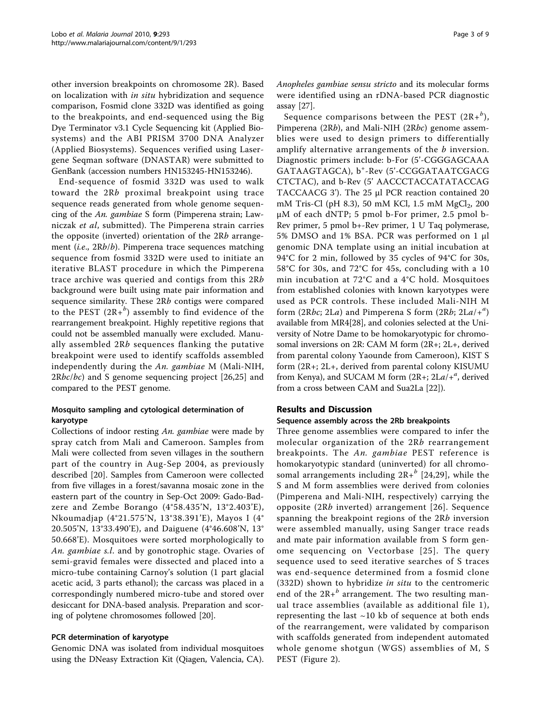other inversion breakpoints on chromosome 2R). Based on localization with in situ hybridization and sequence comparison, Fosmid clone 332D was identified as going to the breakpoints, and end-sequenced using the Big Dye Terminator v3.1 Cycle Sequencing kit (Applied Biosystems) and the ABI PRISM 3700 DNA Analyzer (Applied Biosystems). Sequences verified using Lasergene Seqman software (DNASTAR) were submitted to GenBank (accession numbers [HN153245-](http://www.ncbi.nih.gov/entrez/query.fcgi?db=Nucleotide&cmd=search&term=HN153245)[HN153246\)](http://www.ncbi.nih.gov/entrez/query.fcgi?db=Nucleotide&cmd=search&term=HN153246).

End-sequence of fosmid 332D was used to walk toward the 2Rb proximal breakpoint using trace sequence reads generated from whole genome sequencing of the An. gambiae S form (Pimperena strain; Lawniczak et al, submitted). The Pimperena strain carries the opposite (inverted) orientation of the 2Rb arrangement (*i.e.*, 2Rb/b). Pimperena trace sequences matching sequence from fosmid 332D were used to initiate an iterative BLAST procedure in which the Pimperena trace archive was queried and contigs from this 2Rb background were built using mate pair information and sequence similarity. These 2Rb contigs were compared to the PEST  $(2R + b)$  assembly to find evidence of the rearrangement breakpoint. Highly repetitive regions that could not be assembled manually were excluded. Manually assembled 2Rb sequences flanking the putative breakpoint were used to identify scaffolds assembled independently during the An. gambiae M (Mali-NIH,  $2Rbc/bc$ ) and S genome sequencing project  $[26,25]$  $[26,25]$  $[26,25]$  and compared to the PEST genome.

# Mosquito sampling and cytological determination of karyotype

Collections of indoor resting An. gambiae were made by spray catch from Mali and Cameroon. Samples from Mali were collected from seven villages in the southern part of the country in Aug-Sep 2004, as previously described [[20](#page-7-0)]. Samples from Cameroon were collected from five villages in a forest/savanna mosaic zone in the eastern part of the country in Sep-Oct 2009: Gado-Badzere and Zembe Borango (4°58.435'N, 13°2.403'E), Nkoumadjap (4°21.575'N, 13°38.391'E), Mayos I (4° 20.505'N, 13°33.490'E), and Daiguene (4°46.608'N, 13° 50.668'E). Mosquitoes were sorted morphologically to An. gambiae s.l. and by gonotrophic stage. Ovaries of semi-gravid females were dissected and placed into a micro-tube containing Carnoy's solution (1 part glacial acetic acid, 3 parts ethanol); the carcass was placed in a correspondingly numbered micro-tube and stored over desiccant for DNA-based analysis. Preparation and scoring of polytene chromosomes followed [\[20](#page-7-0)].

# PCR determination of karyotype

Genomic DNA was isolated from individual mosquitoes using the DNeasy Extraction Kit (Qiagen, Valencia, CA). Anopheles gambiae sensu stricto and its molecular forms were identified using an rDNA-based PCR diagnostic assay [[27\]](#page-8-0).

Sequence comparisons between the PEST  $(2R + b)$ , Pimperena (2Rb), and Mali-NIH (2Rbc) genome assemblies were used to design primers to differentially amplify alternative arrangements of the *b* inversion. Diagnostic primers include: b-For (5'-CGGGAGCAAA GATAAGTAGCA), b<sup>+</sup> -Rev (5'-CCGGATAATCGACG CTCTAC), and b-Rev (5' AACCCTACCATATACCAG TACCAACG 3'). The 25 μl PCR reaction contained 20 mM Tris-Cl (pH 8.3), 50 mM KCl, 1.5 mM  $MgCl_2$ , 200 μM of each dNTP; 5 pmol b-For primer, 2.5 pmol b-Rev primer, 5 pmol b+-Rev primer, 1 U Taq polymerase, 5% DMSO and 1% BSA. PCR was performed on 1 μl genomic DNA template using an initial incubation at 94°C for 2 min, followed by 35 cycles of 94°C for 30s, 58°C for 30s, and 72°C for 45s, concluding with a 10 min incubation at 72°C and a 4°C hold. Mosquitoes from established colonies with known karyotypes were used as PCR controls. These included Mali-NIH M form (2Rbc; 2La) and Pimperena S form (2Rb;  $2La/+^a$ ) available from MR4[[28\]](#page-8-0), and colonies selected at the University of Notre Dame to be homokaryotypic for chromosomal inversions on 2R: CAM M form (2R+; 2L+, derived from parental colony Yaounde from Cameroon), KIST S form (2R+; 2L+, derived from parental colony KISUMU from Kenya), and SUCAM M form  $(2R + 2La/+<sup>a</sup>,$  derived from a cross between CAM and Sua2La [\[22\]](#page-7-0)).

# Results and Discussion

# Sequence assembly across the 2Rb breakpoints

Three genome assemblies were compared to infer the molecular organization of the 2Rb rearrangement breakpoints. The An. gambiae PEST reference is homokaryotypic standard (uninverted) for all chromosomal arrangements including  $2R+^b$  [[24](#page-7-0)[,29\]](#page-8-0), while the S and M form assemblies were derived from colonies (Pimperena and Mali-NIH, respectively) carrying the opposite (2Rb inverted) arrangement [[26\]](#page-8-0). Sequence spanning the breakpoint regions of the 2Rb inversion were assembled manually, using Sanger trace reads and mate pair information available from S form genome sequencing on Vectorbase [[25\]](#page-8-0). The query sequence used to seed iterative searches of S traces was end-sequence determined from a fosmid clone (332D) shown to hybridize in situ to the centromeric end of the  $2R+^b$  arrangement. The two resulting manual trace assemblies (available as additional file [1\)](#page-7-0), representing the last  $\sim$ 10 kb of sequence at both ends of the rearrangement, were validated by comparison with scaffolds generated from independent automated whole genome shotgun (WGS) assemblies of M, S PEST (Figure [2](#page-3-0)).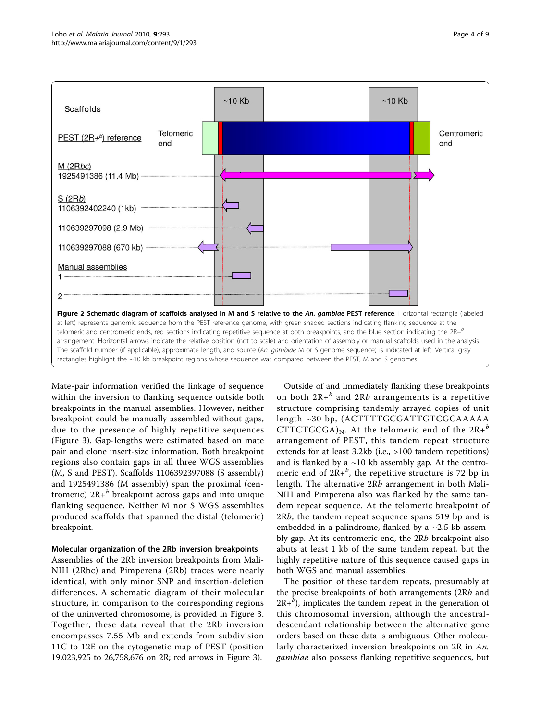<span id="page-3-0"></span>

Mate-pair information verified the linkage of sequence within the inversion to flanking sequence outside both breakpoints in the manual assemblies. However, neither breakpoint could be manually assembled without gaps, due to the presence of highly repetitive sequences (Figure [3\)](#page-4-0). Gap-lengths were estimated based on mate pair and clone insert-size information. Both breakpoint regions also contain gaps in all three WGS assemblies (M, S and PEST). Scaffolds 1106392397088 (S assembly) and 1925491386 (M assembly) span the proximal (centromeric)  $2R+<sup>b</sup>$  breakpoint across gaps and into unique flanking sequence. Neither M nor S WGS assemblies produced scaffolds that spanned the distal (telomeric) breakpoint.

#### Molecular organization of the 2Rb inversion breakpoints

Assemblies of the 2Rb inversion breakpoints from Mali-NIH (2Rbc) and Pimperena (2Rb) traces were nearly identical, with only minor SNP and insertion-deletion differences. A schematic diagram of their molecular structure, in comparison to the corresponding regions of the uninverted chromosome, is provided in Figure [3](#page-4-0). Together, these data reveal that the 2Rb inversion encompasses 7.55 Mb and extends from subdivision 11C to 12E on the cytogenetic map of PEST (position 19,023,925 to 26,758,676 on 2R; red arrows in Figure [3](#page-4-0)).

Outside of and immediately flanking these breakpoints on both  $2R+^b$  and  $2Rb$  arrangements is a repetitive structure comprising tandemly arrayed copies of unit length ~30 bp, (ACTTTTGCGATTGTCGCAAAAA CTTCTGCGA)<sub>N</sub>. At the telomeric end of the  $2R+^b$ arrangement of PEST, this tandem repeat structure extends for at least 3.2kb (i.e., >100 tandem repetitions) and is flanked by a  $\sim$ 10 kb assembly gap. At the centromeric end of  $2R + b$ , the repetitive structure is 72 bp in length. The alternative 2Rb arrangement in both Mali-NIH and Pimperena also was flanked by the same tandem repeat sequence. At the telomeric breakpoint of 2Rb, the tandem repeat sequence spans 519 bp and is embedded in a palindrome, flanked by a  $\sim$ 2.5 kb assembly gap. At its centromeric end, the 2Rb breakpoint also abuts at least 1 kb of the same tandem repeat, but the highly repetitive nature of this sequence caused gaps in both WGS and manual assemblies.

The position of these tandem repeats, presumably at the precise breakpoints of both arrangements (2Rb and  $2R + b$ ), implicates the tandem repeat in the generation of this chromosomal inversion, although the ancestraldescendant relationship between the alternative gene orders based on these data is ambiguous. Other molecularly characterized inversion breakpoints on 2R in An. gambiae also possess flanking repetitive sequences, but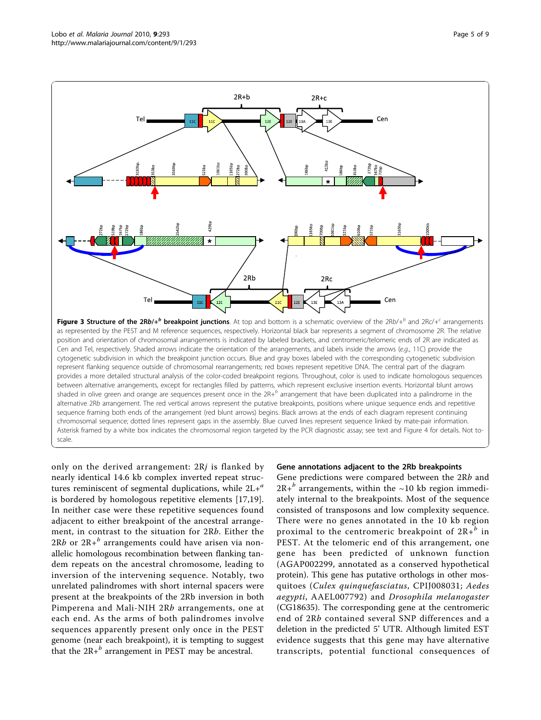<span id="page-4-0"></span>

as represented by the PEST and M reference sequences, respectively. Horizontal black bar represents a segment of chromosome 2R. The relative position and orientation of chromosomal arrangements is indicated by labeled brackets, and centromeric/telomeric ends of 2R are indicated as Cen and Tel, respectively. Shaded arrows indicate the orientation of the arrangements, and labels inside the arrows (e.g., 11C) provide the cytogenetic subdivision in which the breakpoint junction occurs. Blue and gray boxes labeled with the corresponding cytogenetic subdivision represent flanking sequence outside of chromosomal rearrangements; red boxes represent repetitive DNA. The central part of the diagram provides a more detailed structural analysis of the color-coded breakpoint regions. Throughout, color is used to indicate homologous sequences between alternative arrangements, except for rectangles filled by patterns, which represent exclusive insertion events. Horizontal blunt arrows shaded in olive green and orange are sequences present once in the  $2R<sup>+</sup>$  arrangement that have been duplicated into a palindrome in the alternative 2Rb arrangement. The red vertical arrows represent the putative breakpoints, positions where unique sequence ends and repetitive sequence framing both ends of the arrangement (red blunt arrows) begins. Black arrows at the ends of each diagram represent continuing chromosomal sequence; dotted lines represent gaps in the assembly. Blue curved lines represent sequence linked by mate-pair information. Asterisk framed by a white box indicates the chromosomal region targeted by the PCR diagnostic assay; see text and Figure 4 for details. Not toscale.

only on the derived arrangement:  $2Rj$  is flanked by nearly identical 14.6 kb complex inverted repeat structures reminiscent of segmental duplications, while  $2L+<sup>a</sup>$ is bordered by homologous repetitive elements [[17,19](#page-7-0)]. In neither case were these repetitive sequences found adjacent to either breakpoint of the ancestral arrangement, in contrast to the situation for 2Rb. Either the 2Rb or  $2R + b$  arrangements could have arisen via nonallelic homologous recombination between flanking tandem repeats on the ancestral chromosome, leading to inversion of the intervening sequence. Notably, two unrelated palindromes with short internal spacers were present at the breakpoints of the 2Rb inversion in both Pimperena and Mali-NIH 2Rb arrangements, one at each end. As the arms of both palindromes involve sequences apparently present only once in the PEST genome (near each breakpoint), it is tempting to suggest that the  $2R+<sup>b</sup>$  arrangement in PEST may be ancestral.

#### Gene annotations adjacent to the 2Rb breakpoints

Gene predictions were compared between the 2Rb and  $2R+<sup>b</sup>$  arrangements, within the ~10 kb region immediately internal to the breakpoints. Most of the sequence consisted of transposons and low complexity sequence. There were no genes annotated in the 10 kb region proximal to the centromeric breakpoint of  $2R+^b$  in PEST. At the telomeric end of this arrangement, one gene has been predicted of unknown function (AGAP002299, annotated as a conserved hypothetical protein). This gene has putative orthologs in other mosquitoes (Culex quinquefasciatus, CPIJ008031; Aedes aegypti, AAEL007792) and Drosophila melanogaster (CG18635). The corresponding gene at the centromeric end of 2Rb contained several SNP differences and a deletion in the predicted 5' UTR. Although limited EST evidence suggests that this gene may have alternative transcripts, potential functional consequences of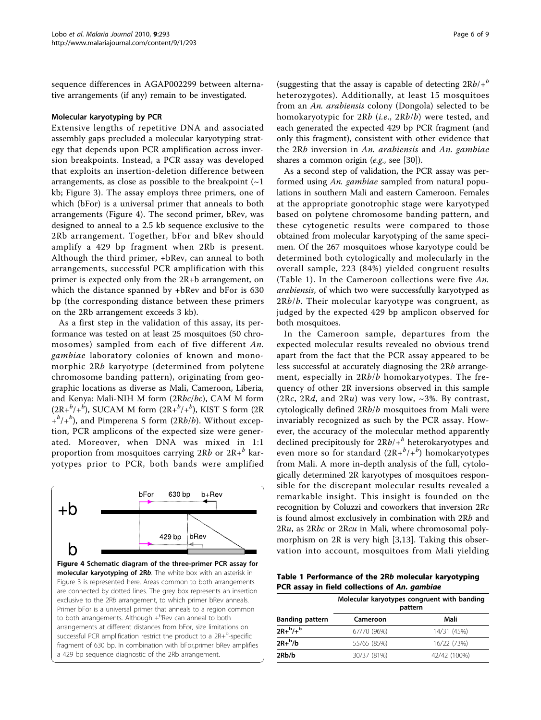sequence differences in AGAP002299 between alternative arrangements (if any) remain to be investigated.

#### Molecular karyotyping by PCR

Extensive lengths of repetitive DNA and associated assembly gaps precluded a molecular karyotyping strategy that depends upon PCR amplification across inversion breakpoints. Instead, a PCR assay was developed that exploits an insertion-deletion difference between arrangements, as close as possible to the breakpoint  $(\sim]1$ kb; Figure [3\)](#page-4-0). The assay employs three primers, one of which (bFor) is a universal primer that anneals to both arrangements (Figure 4). The second primer, bRev, was designed to anneal to a 2.5 kb sequence exclusive to the 2Rb arrangement. Together, bFor and bRev should amplify a 429 bp fragment when 2Rb is present. Although the third primer, +bRev, can anneal to both arrangements, successful PCR amplification with this primer is expected only from the 2R+b arrangement, on which the distance spanned by +bRev and bFor is 630 bp (the corresponding distance between these primers on the 2Rb arrangement exceeds 3 kb).

As a first step in the validation of this assay, its performance was tested on at least 25 mosquitoes (50 chromosomes) sampled from each of five different An. gambiae laboratory colonies of known and monomorphic 2Rb karyotype (determined from polytene chromosome banding pattern), originating from geographic locations as diverse as Mali, Cameroon, Liberia, and Kenya: Mali-NIH M form (2Rbc/bc), CAM M form  $(2R+^{b}/+^{b})$ , SUCAM M form  $(2R+^{b}/+^{b})$ , KIST S form  $(2R+^{b}/+^{b})$  $+^{b}/+^{b}$ ), and Pimperena S form (2Rb/b). Without exception, PCR amplicons of the expected size were generated. Moreover, when DNA was mixed in 1:1 proportion from mosquitoes carrying  $2Rb$  or  $2R<sup>b</sup>$  karyotypes prior to PCR, both bands were amplified



(suggesting that the assay is capable of detecting  $2Rb/+\frac{b}{b}$ heterozygotes). Additionally, at least 15 mosquitoes from an An. arabiensis colony (Dongola) selected to be homokaryotypic for 2Rb (i.e., 2Rb/b) were tested, and each generated the expected 429 bp PCR fragment (and only this fragment), consistent with other evidence that the 2Rb inversion in An. arabiensis and An. gambiae shares a common origin (e.g., see [\[30](#page-8-0)]).

As a second step of validation, the PCR assay was performed using An. gambiae sampled from natural populations in southern Mali and eastern Cameroon. Females at the appropriate gonotrophic stage were karyotyped based on polytene chromosome banding pattern, and these cytogenetic results were compared to those obtained from molecular karyotyping of the same specimen. Of the 267 mosquitoes whose karyotype could be determined both cytologically and molecularly in the overall sample, 223 (84%) yielded congruent results (Table 1). In the Cameroon collections were five An. arabiensis, of which two were successfully karyotyped as  $2Rb/b$ . Their molecular karyotype was congruent, as judged by the expected 429 bp amplicon observed for both mosquitoes.

In the Cameroon sample, departures from the expected molecular results revealed no obvious trend apart from the fact that the PCR assay appeared to be less successful at accurately diagnosing the 2Rb arrangement, especially in 2Rb/b homokaryotypes. The frequency of other 2R inversions observed in this sample (2Rc, 2Rd, and 2Ru) was very low,  $\sim$ 3%. By contrast, cytologically defined 2Rb/b mosquitoes from Mali were invariably recognized as such by the PCR assay. However, the accuracy of the molecular method apparently declined precipitously for  $2Rb/$ + $b$  heterokaryotypes and even more so for standard  $(2R + b') + b$  homokaryotypes from Mali. A more in-depth analysis of the full, cytologically determined 2R karyotypes of mosquitoes responsible for the discrepant molecular results revealed a remarkable insight. This insight is founded on the recognition by Coluzzi and coworkers that inversion 2Rc is found almost exclusively in combination with 2Rb and 2Ru, as 2Rbc or 2Rcu in Mali, where chromosomal polymorphism on 2R is very high [\[3,13](#page-7-0)]. Taking this observation into account, mosquitoes from Mali yielding

Table 1 Performance of the 2Rb molecular karyotyping PCR assay in field collections of An. gambiae

| <b>Banding pattern</b> | Molecular karyotypes congruent with banding<br>pattern |              |  |
|------------------------|--------------------------------------------------------|--------------|--|
|                        | Cameroon                                               | Mali         |  |
| $2R + b/+$             | 67/70 (96%)                                            | 14/31 (45%)  |  |
| $2R + b/b$             | 55/65 (85%)                                            | 16/22 (73%)  |  |
| 2Rb/b                  | 30/37 (81%)                                            | 42/42 (100%) |  |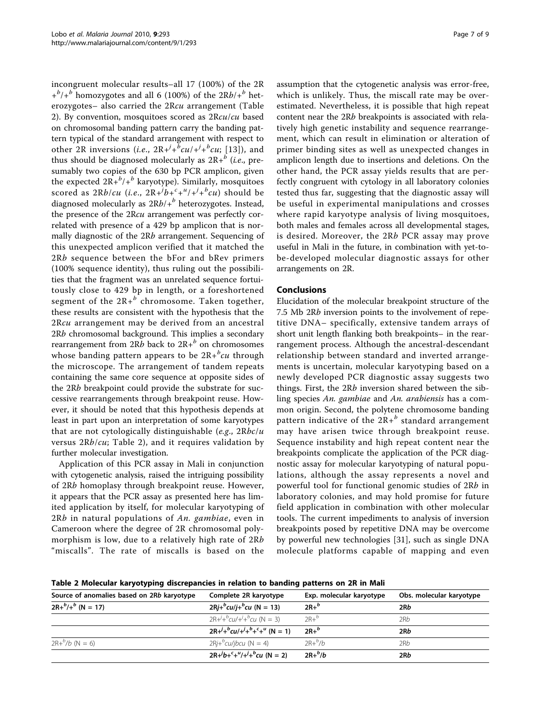incongruent molecular results–all 17 (100%) of the 2R  $+\frac{b}{b}$  homozygotes and all 6 (100%) of the 2Rb/ $+\frac{b}{b}$  heterozygotes– also carried the 2Rcu arrangement (Table 2). By convention, mosquitoes scored as 2Rcu/cu based on chromosomal banding pattern carry the banding pattern typical of the standard arrangement with respect to other 2R inversions (*i.e.*,  $2R + (b^2 + b^2)$ cu; [\[13\]](#page-7-0)), and thus should be diagnosed molecularly as  $2R+^{b}$  (*i.e.*, presumably two copies of the 630 bp PCR amplicon, given the expected  $2R+^b/+^b$  karyotype). Similarly, mosquitoes scored as 2Rb/cu (i.e.,  $2R+^{j}b+^{c}+^{u}/+^{j}b+^{c}u$ ) should be diagnosed molecularly as  $2Rb/+\frac{b}{b}$  heterozygotes. Instead, the presence of the 2Rcu arrangement was perfectly correlated with presence of a 429 bp amplicon that is normally diagnostic of the 2Rb arrangement. Sequencing of this unexpected amplicon verified that it matched the 2Rb sequence between the bFor and bRev primers (100% sequence identity), thus ruling out the possibilities that the fragment was an unrelated sequence fortuitously close to 429 bp in length, or a foreshortened segment of the  $2R+^b$  chromosome. Taken together, these results are consistent with the hypothesis that the 2Rcu arrangement may be derived from an ancestral 2Rb chromosomal background. This implies a secondary rearrangement from 2Rb back to  $2R + b$  on chromosomes whose banding pattern appears to be  $2R + \frac{b}{c}cu$  through the microscope. The arrangement of tandem repeats containing the same core sequence at opposite sides of the 2Rb breakpoint could provide the substrate for successive rearrangements through breakpoint reuse. However, it should be noted that this hypothesis depends at least in part upon an interpretation of some karyotypes that are not cytologically distinguishable (e.g.,  $2Rbc/u$ ) versus 2Rb/cu; Table 2), and it requires validation by further molecular investigation.

Application of this PCR assay in Mali in conjunction with cytogenetic analysis, raised the intriguing possibility of 2Rb homoplasy through breakpoint reuse. However, it appears that the PCR assay as presented here has limited application by itself, for molecular karyotyping of  $2Rb$  in natural populations of An. gambiae, even in Cameroon where the degree of 2R chromosomal polymorphism is low, due to a relatively high rate of 2Rb "miscalls". The rate of miscalls is based on the assumption that the cytogenetic analysis was error-free, which is unlikely. Thus, the miscall rate may be overestimated. Nevertheless, it is possible that high repeat content near the 2Rb breakpoints is associated with relatively high genetic instability and sequence rearrangement, which can result in elimination or alteration of primer binding sites as well as unexpected changes in amplicon length due to insertions and deletions. On the other hand, the PCR assay yields results that are perfectly congruent with cytology in all laboratory colonies tested thus far, suggesting that the diagnostic assay will be useful in experimental manipulations and crosses where rapid karyotype analysis of living mosquitoes, both males and females across all developmental stages, is desired. Moreover, the 2Rb PCR assay may prove useful in Mali in the future, in combination with yet-tobe-developed molecular diagnostic assays for other arrangements on 2R.

# Conclusions

Elucidation of the molecular breakpoint structure of the 7.5 Mb 2Rb inversion points to the involvement of repetitive DNA– specifically, extensive tandem arrays of short unit length flanking both breakpoints– in the rearrangement process. Although the ancestral-descendant relationship between standard and inverted arrangements is uncertain, molecular karyotyping based on a newly developed PCR diagnostic assay suggests two things. First, the 2Rb inversion shared between the sibling species An. gambiae and An. arabiensis has a common origin. Second, the polytene chromosome banding pattern indicative of the  $2R+^b$  standard arrangement may have arisen twice through breakpoint reuse. Sequence instability and high repeat content near the breakpoints complicate the application of the PCR diagnostic assay for molecular karyotyping of natural populations, although the assay represents a novel and powerful tool for functional genomic studies of 2Rb in laboratory colonies, and may hold promise for future field application in combination with other molecular tools. The current impediments to analysis of inversion breakpoints posed by repetitive DNA may be overcome by powerful new technologies [[31\]](#page-8-0), such as single DNA molecule platforms capable of mapping and even

Table 2 Molecular karyotyping discrepancies in relation to banding patterns on 2R in Mali

| Source of anomalies based on 2Rb karyotype | Complete 2R karyotype                                                                            | Exp. molecular karyotype | Obs. molecular karyotype |
|--------------------------------------------|--------------------------------------------------------------------------------------------------|--------------------------|--------------------------|
| $2R + b/ + b$ (N = 17)                     | $2Rj+{}^{b}cu/j+{}^{b}cu$ (N = 13)                                                               | $2R+^b$                  | 2Rb                      |
|                                            | $2R+1+bcu/1+bcu (N = 3)$                                                                         | $2R+^b$                  | 2Rb                      |
|                                            | $2R + \frac{j}{r}$ $\frac{b}{r}$ $\frac{c}{r} + \frac{b}{r} + \frac{c}{r} + \frac{u}{r}$ (N = 1) | $2R+^b$                  | 2Rb                      |
| $2R + b/b$ (N = 6)                         | $2Rj+bcu/jbcu$ (N = 4)                                                                           | $2R+^{b}/b$              | 2Rb                      |
|                                            | $2R + b + c + \frac{u}{r} + \frac{b}{r}$ (N = 2)                                                 | $2R+^b/b$                | 2Rb                      |
|                                            |                                                                                                  |                          |                          |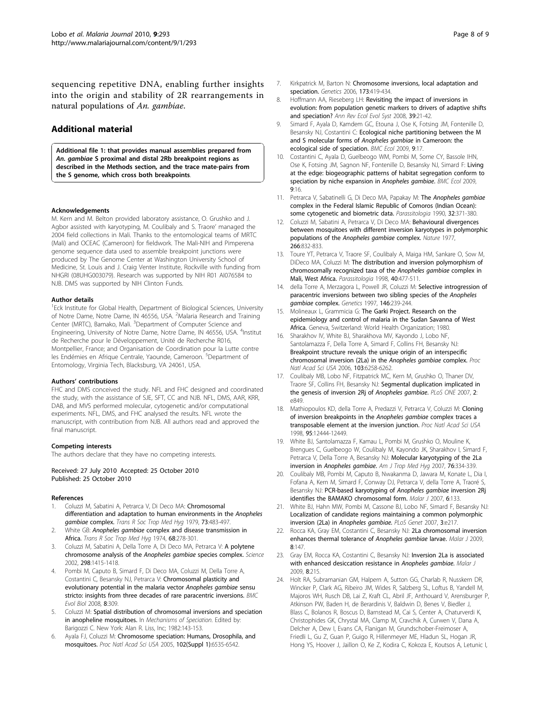<span id="page-7-0"></span>sequencing repetitive DNA, enabling further insights into the origin and stability of 2R rearrangements in natural populations of An. gambiae.

# Additional material

[Additional file 1: t](http://www.biomedcentral.com/content/supplementary/1475-2875-9-293-S1.PDF)hat provides manual assemblies prepared from An. gambiae S proximal and distal 2Rb breakpoint regions as described in the Methods section, and the trace mate-pairs from the S genome, which cross both breakpoints.

#### Acknowledgements

M. Kern and M. Belton provided laboratory assistance, O. Grushko and J. Agbor assisted with karyotyping, M. Coulibaly and S. Traore' managed the 2004 field collections in Mali. Thanks to the entomological teams of MRTC (Mali) and OCEAC (Cameroon) for fieldwork. The Mali-NIH and Pimperena genome sequence data used to assemble breakpoint junctions were produced by The Genome Center at Washington University School of Medicine, St. Louis and J. Craig Venter Institute, Rockville with funding from NHGRI (08UHG003079). Research was supported by NIH R01 AI076584 to NJB. DMS was supported by NIH Clinton Funds.

#### Author details

<sup>1</sup> Eck Institute for Global Health, Department of Biological Sciences, University of Notre Dame, Notre Dame, IN 46556, USA. <sup>2</sup>Malaria Research and Training Center (MRTC), Bamako, Mali. <sup>3</sup>Department of Computer Science and Engineering, University of Notre Dame, Notre Dame, IN 46556, USA. <sup>4</sup>Institut de Recherche pour le Développement, Unité de Recherche R016, Montpellier, France; and Organisation de Coordination pour la Lutte contre les Endémies en Afrique Centrale, Yaounde, Cameroon. <sup>5</sup>Department of Entomology, Virginia Tech, Blacksburg, VA 24061, USA.

#### Authors' contributions

FHC and DMS conceived the study. NFL and FHC designed and coordinated the study, with the assistance of SJE, SFT, CC and NJB. NFL, DMS, AAR, KRR, DAB, and MVS performed molecular, cytogenetic and/or computational experiments. NFL, DMS, and FHC analysed the results. NFL wrote the manuscript, with contribution from NJB. All authors read and approved the final manuscript.

#### Competing interests

The authors declare that they have no competing interests.

Received: 27 July 2010 Accepted: 25 October 2010 Published: 25 October 2010

#### References

- 1. Coluzzi M, Sabatini A, Petrarca V, Di Deco MA: [Chromosomal](http://www.ncbi.nlm.nih.gov/pubmed/394408?dopt=Abstract) [differentiation and adaptation to human environments in the](http://www.ncbi.nlm.nih.gov/pubmed/394408?dopt=Abstract) Anopheles gambiae [complex.](http://www.ncbi.nlm.nih.gov/pubmed/394408?dopt=Abstract) Trans R Soc Trop Med Hyg 1979, 73:483-497.
- 2. White GB: Anopheles gambiae [complex and disease transmission in](http://www.ncbi.nlm.nih.gov/pubmed/4420769?dopt=Abstract) [Africa.](http://www.ncbi.nlm.nih.gov/pubmed/4420769?dopt=Abstract) Trans R Soc Trop Med Hyg 1974, 68:278-301.
- 3. Coluzzi M, Sabatini A, Della Torre A, Di Deco MA, Petrarca V: [A polytene](http://www.ncbi.nlm.nih.gov/pubmed/12364623?dopt=Abstract) [chromosome analysis of the](http://www.ncbi.nlm.nih.gov/pubmed/12364623?dopt=Abstract) Anopheles gambiae species complex. Science 2002, 298:1415-1418.
- 4. Pombi M, Caputo B, Simard F, Di Deco MA, Coluzzi M, Della Torre A, Costantini C, Besansky NJ, Petrarca V: [Chromosomal plasticity and](http://www.ncbi.nlm.nih.gov/pubmed/19000304?dopt=Abstract) [evolutionary potential in the malaria vector](http://www.ncbi.nlm.nih.gov/pubmed/19000304?dopt=Abstract) Anopheles gambiae sensu [stricto: insights from three decades of rare paracentric inversions.](http://www.ncbi.nlm.nih.gov/pubmed/19000304?dopt=Abstract) BMC Evol Biol 2008, 8:309.
- Coluzzi M: Spatial distribution of chromosomal inversions and speciation in anopheline mosquitoes. In Mechanisms of Speciation. Edited by: Barigozzi C. New York: Alan R. Liss, Inc; 1982:143-153.
- Ayala FJ, Coluzzi M: [Chromosome speciation: Humans, Drosophila, and](http://www.ncbi.nlm.nih.gov/pubmed/15851677?dopt=Abstract) [mosquitoes.](http://www.ncbi.nlm.nih.gov/pubmed/15851677?dopt=Abstract) Proc Natl Acad Sci USA 2005, 102(Suppl 1):6535-6542.
- 7. Kirkpatrick M, Barton N: [Chromosome inversions, local adaptation and](http://www.ncbi.nlm.nih.gov/pubmed/16204214?dopt=Abstract) [speciation.](http://www.ncbi.nlm.nih.gov/pubmed/16204214?dopt=Abstract) Genetics 2006, 173:419-434.
- 8. Hoffmann AA, Rieseberg LH: Revisiting the impact of inversions in evolution: from population genetic markers to drivers of adaptive shifts and speciation? Ann Rev Ecol Evol Syst 2008, 39:21-42.
- 9. Simard F, Ayala D, Kamdem GC, Etouna J, Ose K, Fotsing JM, Fontenille D, Besansky NJ, Costantini C: [Ecological niche partitioning between the M](http://www.ncbi.nlm.nih.gov/pubmed/19460146?dopt=Abstract) [and S molecular forms of](http://www.ncbi.nlm.nih.gov/pubmed/19460146?dopt=Abstract) Anopheles gambiae in Cameroon: the [ecological side of speciation.](http://www.ncbi.nlm.nih.gov/pubmed/19460146?dopt=Abstract) BMC Ecol 2009, 9:17.
- 10. Costantini C, Ayala D, Guelbeogo WM, Pombi M, Some CY, Bassole IHN, Ose K, Fotsing JM, Sagnon NF, Fontenille D, Besansky NJ, Simard F: [Living](http://www.ncbi.nlm.nih.gov/pubmed/19460144?dopt=Abstract) [at the edge: biogeographic patterns of habitat segregation conform to](http://www.ncbi.nlm.nih.gov/pubmed/19460144?dopt=Abstract) [speciation by niche expansion in](http://www.ncbi.nlm.nih.gov/pubmed/19460144?dopt=Abstract) Anopheles gambiae. BMC Ecol 2009, 9:16.
- 11. Petrarca V, Sabatinelli G, Di Deco MA, Papakay M: The [Anopheles gambiae](http://www.ncbi.nlm.nih.gov/pubmed/2132451?dopt=Abstract) [complex in the Federal Islamic Republic of Comoros \(Indian Ocean\):](http://www.ncbi.nlm.nih.gov/pubmed/2132451?dopt=Abstract) [some cytogenetic and biometric data.](http://www.ncbi.nlm.nih.gov/pubmed/2132451?dopt=Abstract) Parassitologia 1990, 32:371-380.
- 12. Coluzzi M, Sabatini A, Petrarca V, Di Deco MA: [Behavioural divergences](http://www.ncbi.nlm.nih.gov/pubmed/865604?dopt=Abstract) [between mosquitoes with different inversion karyotypes in polymorphic](http://www.ncbi.nlm.nih.gov/pubmed/865604?dopt=Abstract) [populations of the](http://www.ncbi.nlm.nih.gov/pubmed/865604?dopt=Abstract) Anopheles gambiae complex. Nature 1977, 266:832-833.
- 13. Toure YT, Petrarca V, Traore SF, Coulibaly A, Maiga HM, Sankare O, Sow M, DiDeco MA, Coluzzi M: [The distribution and inversion polymorphism of](http://www.ncbi.nlm.nih.gov/pubmed/10645562?dopt=Abstract) [chromosomally recognized taxa of the](http://www.ncbi.nlm.nih.gov/pubmed/10645562?dopt=Abstract) Anopheles gambiae complex in [Mali, West Africa.](http://www.ncbi.nlm.nih.gov/pubmed/10645562?dopt=Abstract) Parassitologia 1998, 40:477-511.
- 14. della Torre A, Merzagora L, Powell JR, Coluzzi M: [Selective introgression of](http://www.ncbi.nlm.nih.gov/pubmed/9136013?dopt=Abstract) [paracentric inversions between two sibling species of the](http://www.ncbi.nlm.nih.gov/pubmed/9136013?dopt=Abstract) Anopheles gambiae [complex.](http://www.ncbi.nlm.nih.gov/pubmed/9136013?dopt=Abstract) Genetics 1997, <sup>146</sup>:239-244.
- 15. Molineaux L, Grammicia G: The Garki Project. Research on the epidemiology and control of malaria in the Sudan Savanna of West Africa. Geneva, Switzerland: World Health Organization; 1980.
- 16. Sharakhov IV, White BJ, Sharakhova MV, Kayondo J, Lobo NF, Santolamazza F, Della Torre A, Simard F, Collins FH, Besansky NJ: [Breakpoint structure reveals the unique origin of an interspecific](http://www.ncbi.nlm.nih.gov/pubmed/16606844?dopt=Abstract) [chromosomal inversion \(2La\) in the](http://www.ncbi.nlm.nih.gov/pubmed/16606844?dopt=Abstract) Anopheles gambiae complex. Proc Natl Acad Sci USA 2006, 103:6258-6262.
- 17. Coulibaly MB, Lobo NF, Fitzpatrick MC, Kern M, Grushko O, Thaner DV, Traore SF, Collins FH, Besansky NJ: [Segmental duplication implicated in](http://www.ncbi.nlm.nih.gov/pubmed/17786220?dopt=Abstract) [the genesis of inversion 2Rj of](http://www.ncbi.nlm.nih.gov/pubmed/17786220?dopt=Abstract) Anopheles gambiae. PLoS ONE 2007, <sup>2</sup>: e849.
- 18. Mathiopoulos KD, della Torre A, Predazzi V, Petrarca V, Coluzzi M: [Cloning](http://www.ncbi.nlm.nih.gov/pubmed/9770505?dopt=Abstract) [of inversion breakpoints in the](http://www.ncbi.nlm.nih.gov/pubmed/9770505?dopt=Abstract) Anopheles gambiae complex traces a [transposable element at the inversion junction.](http://www.ncbi.nlm.nih.gov/pubmed/9770505?dopt=Abstract) Proc Natl Acad Sci USA 1998, 95:12444-12449.
- 19. White BJ, Santolamazza F, Kamau L, Pombi M, Grushko O, Mouline K, Brengues C, Guelbeogo W, Coulibaly M, Kayondo JK, Sharakhov I, Simard F, Petrarca V, Della Torre A, Besansky NJ: [Molecular karyotyping of the 2La](http://www.ncbi.nlm.nih.gov/pubmed/17297045?dopt=Abstract) [inversion in](http://www.ncbi.nlm.nih.gov/pubmed/17297045?dopt=Abstract) Anopheles gambiae. Am J Trop Med Hyg 2007, <sup>76</sup>:334-339.
- 20. Coulibaly MB, Pombi M, Caputo B, Nwakanma D, Jawara M, Konate L, Dia I, Fofana A, Kern M, Simard F, Conway DJ, Petrarca V, della Torre A, Traoré S, Besansky NJ: [PCR-based karyotyping of](http://www.ncbi.nlm.nih.gov/pubmed/17908310?dopt=Abstract) Anopheles gambiae inversion 2Rj [identifies the BAMAKO chromosomal form.](http://www.ncbi.nlm.nih.gov/pubmed/17908310?dopt=Abstract) Malar J 2007, 6:133.
- 21. White BJ, Hahn MW, Pombi M, Cassone BJ, Lobo NF, Simard F, Besansky NJ: [Localization of candidate regions maintaining a common polymorphic](http://www.ncbi.nlm.nih.gov/pubmed/18069896?dopt=Abstract) [inversion \(2La\) in](http://www.ncbi.nlm.nih.gov/pubmed/18069896?dopt=Abstract) Anopheles gambiae. PLoS Genet 2007, 3:e217.
- 22. Rocca KA, Gray EM, Costantini C, Besansky NJ: [2La chromosomal inversion](http://www.ncbi.nlm.nih.gov/pubmed/19573238?dopt=Abstract) [enhances thermal tolerance of](http://www.ncbi.nlm.nih.gov/pubmed/19573238?dopt=Abstract) Anopheles gambiae larvae. Malar J 2009, 8:147.
- 23. Gray EM, Rocca KA, Costantini C, Besansky NJ: [Inversion 2La is associated](http://www.ncbi.nlm.nih.gov/pubmed/19772577?dopt=Abstract) [with enhanced desiccation resistance in](http://www.ncbi.nlm.nih.gov/pubmed/19772577?dopt=Abstract) Anopheles gambiae. Malar J 2009, 8:215.
- 24. Holt RA, Subramanian GM, Halpern A, Sutton GG, Charlab R, Nusskern DR, Wincker P, Clark AG, Ribeiro JM, Wides R, Salzberg SL, Loftus B, Yandell M, Majoros WH, Rusch DB, Lai Z, Kraft CL, Abril JF, Anthouard V, Arensburger P, Atkinson PW, Baden H, de Berardinis V, Baldwin D, Benes V, Biedler J, Blass C, Bolanos R, Boscus D, Barnstead M, Cai S, Center A, Chaturverdi K, Christophides GK, Chrystal MA, Clamp M, Cravchik A, Curwen V, Dana A, Delcher A, Dew I, Evans CA, Flanigan M, Grundschober-Freimoser A, Friedli L, Gu Z, Guan P, Guigo R, Hillenmeyer ME, Hladun SL, Hogan JR, Hong YS, Hoover J, Jaillon O, Ke Z, Kodira C, Kokoza E, Koutsos A, Letunic I,